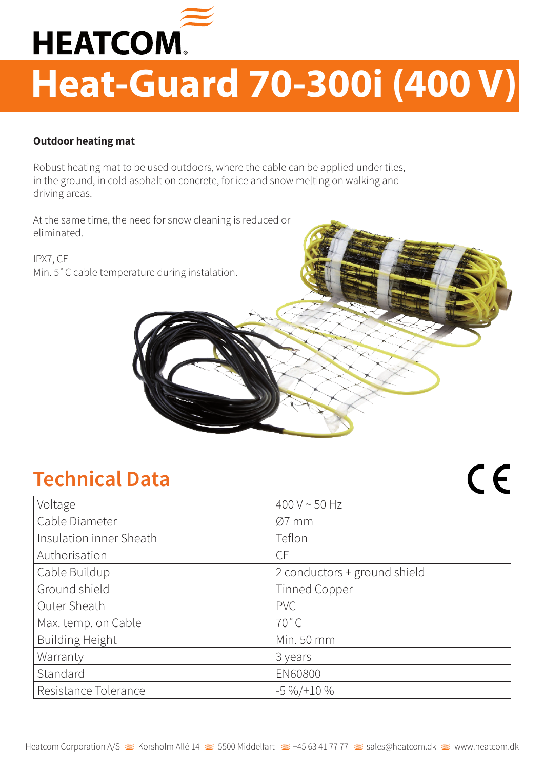

## **Heat-Guard 70-300i (400 V)**

## **Outdoor heating mat**

Robust heating mat to be used outdoors, where the cable can be applied under tiles, in the ground, in cold asphalt on concrete, for ice and snow melting on walking and driving areas.

At the same time, the need for snow cleaning is reduced or eliminated.

IPX7, CE Min. 5˚C cable temperature during instalation.

## **Technical Data**

| Voltage                 | 400 V $\sim$ 50 Hz           |
|-------------------------|------------------------------|
| Cable Diameter          | $Ø7$ mm                      |
| Insulation inner Sheath | Teflon                       |
| Authorisation           | <b>CE</b>                    |
| Cable Buildup           | 2 conductors + ground shield |
| Ground shield           | <b>Tinned Copper</b>         |
| Outer Sheath            | <b>PVC</b>                   |
| Max. temp. on Cable     | $70^{\circ}$ C               |
| <b>Building Height</b>  | Min. 50 mm                   |
| Warranty                | 3 years                      |
| Standard                | <b>EN60800</b>               |
| Resistance Tolerance    | $-5\% / +10\%$               |

 $C$